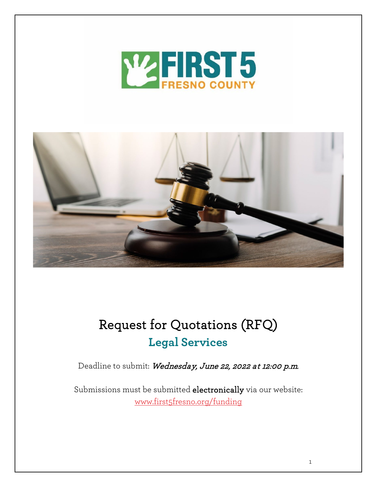



# Request for Quotations (RFQ) **Legal Services**

Deadline to submit: Wednesday, June 22, 2022 at 12:00 p.m.

Submissions must be submitted electronically via our website: [www.first5fresno.org/funding](https://www.first5fresno.org/funding/)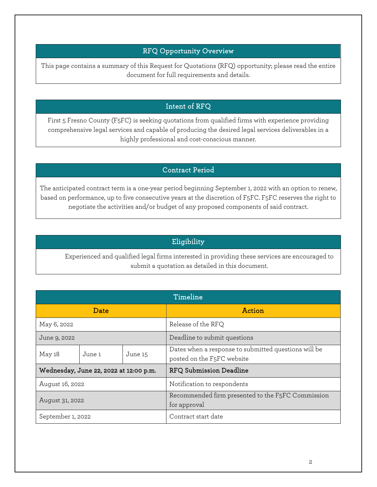## RFQ Opportunity Overview

This page contains a summary of this Request for Quotations (RFQ) opportunity; please read the entire document for full requirements and details.

## Intent of RFQ

First 5 Fresno County (F5FC) is seeking quotations from qualified firms with experience providing comprehensive legal services and capable of producing the desired legal services deliverables in a highly professional and cost-conscious manner.

## Contract Period

The anticipated contract term is a one-year period beginning September 1, 2022 with an option to renew, based on performance, up to five consecutive years at the discretion of F5FC. F5FC reserves the right to negotiate the activities and/or budget of any proposed components of said contract.

## Eligibility

Experienced and qualified legal firms interested in providing these services are encouraged to submit a quotation as detailed in this document.

| Timeline                               |        |         |                                                                                                 |
|----------------------------------------|--------|---------|-------------------------------------------------------------------------------------------------|
| Date                                   |        |         | <b>Action</b>                                                                                   |
| May 6, 2022                            |        |         | Release of the RFQ                                                                              |
| June 9, 2022                           |        |         | Deadline to submit questions                                                                    |
| May 18                                 | June 1 | June 15 | Dates when a response to submitted questions will be<br>posted on the F <sub>5</sub> FC website |
| Wednesday, June 22, 2022 at 12:00 p.m. |        |         | RFQ Submission Deadline                                                                         |
| August 16, 2022                        |        |         | Notification to respondents                                                                     |
| August 31, 2022                        |        |         | Recommended firm presented to the F5FC Commission<br>for approval                               |
| September 1, 2022                      |        |         | Contract start date                                                                             |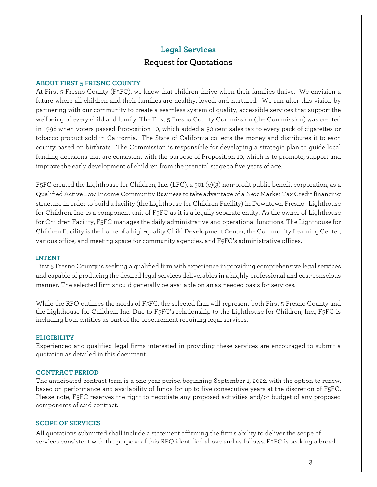## **Legal Services** Request for Quotations

#### **ABOUT FIRST 5 FRESNO COUNTY**

At First 5 Fresno County (F5FC), we know that children thrive when their families thrive. We envision a future where all children and their families are healthy, loved, and nurtured. We run after this vision by partnering with our community to create a seamless system of quality, accessible services that support the wellbeing of every child and family. The First 5 Fresno County Commission (the Commission) was created in 1998 when voters passed Proposition 10, which added a 50-cent sales tax to every pack of cigarettes or tobacco product sold in California. The State of California collects the money and distributes it to each county based on birthrate. The Commission is responsible for developing a strategic plan to guide local funding decisions that are consistent with the purpose of Proposition 10, which is to promote, support and improve the early development of children from the prenatal stage to five years of age.

F5FC created the [Lighthouse for Children, Inc.](http://www.lfcfresno.org/) (LFC), a 501 (c)(3) non-profit public benefit corporation, as a Qualified Active Low-Income Community Business to take advantage of a New Market Tax Credit financing structure in order to build a facility (the Lighthouse for Children Facility) in Downtown Fresno. Lighthouse for Children, Inc. is a component unit of F5FC as it is a legally separate entity. As the owner of Lighthouse for Children Facility, F5FC manages the daily administrative and operational functions. The Lighthouse for Children Facility is the home of a high-quality Child Development Center, the Community Learning Center, various office, and meeting space for community agencies, and F5FC's administrative offices.

#### **INTENT**

First 5 Fresno County is seeking a qualified firm with experience in providing comprehensive legal services and capable of producing the desired legal services deliverables in a highly professional and cost-conscious manner. The selected firm should generally be available on an as-needed basis for services.

While the RFQ outlines the needs of F5FC, the selected firm will represent both First 5 Fresno County and the Lighthouse for Children, Inc. Due to F5FC's relationship to the Lighthouse for Children, Inc., F5FC is including both entities as part of the procurement requiring legal services.

#### **ELIGIBILITY**

Experienced and qualified legal firms interested in providing these services are encouraged to submit a quotation as detailed in this document.

#### **CONTRACT PERIOD**

The anticipated contract term is a one-year period beginning September 1, 2022, with the option to renew, based on performance and availability of funds for up to five consecutive years at the discretion of F5FC. Please note, F5FC reserves the right to negotiate any proposed activities and/or budget of any proposed components of said contract.

#### **SCOPE OF SERVICES**

All quotations submitted shall include a statement affirming the firm's ability to deliver the scope of services consistent with the purpose of this RFQ identified above and as follows. F5FC is seeking a broad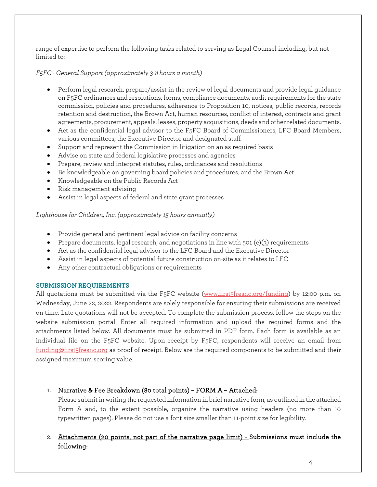range of expertise to perform the following tasks related to serving as Legal Counsel including, but not limited to:

*F5FC - General Support (approximately 3-8 hours a month)*

- Perform legal research, prepare/assist in the review of legal documents and provide legal guidance on F5FC ordinances and resolutions, forms, compliance documents, audit requirements for the state commission, policies and procedures, adherence to Proposition 10, notices, public records, records retention and destruction, the Brown Act, human resources, conflict of interest, contracts and grant agreements, procurement, appeals, leases, property acquisitions, deeds and other related documents.
- Act as the confidential legal advisor to the F5FC Board of Commissioners, LFC Board Members, various committees, the Executive Director and designated staff
- Support and represent the Commission in litigation on an as required basis
- Advise on state and federal legislative processes and agencies
- Prepare, review and interpret statutes, rules, ordinances and resolutions
- Be knowledgeable on governing board policies and procedures, and the Brown Act
- Knowledgeable on the Public Records Act
- Risk management advising
- Assist in legal aspects of federal and state grant processes

*Lighthouse for Children, Inc. (approximately 15 hours annually)*

- Provide general and pertinent legal advice on facility concerns
- Prepare documents, legal research, and negotiations in line with 501 (c)(3) requirements
- Act as the confidential legal advisor to the LFC Board and the Executive Director
- Assist in legal aspects of potential future construction on-site as it relates to LFC
- Any other contractual obligations or requirements

### **SUBMISSION REQUIREMENTS**

All quotations must be submitted via the F5FC website [\(www.first5fresno.org/funding\)](http://www.first5fresno.org/funding) by 12:00 p.m. on Wednesday, June 22, 2022. Respondents are solely responsible for ensuring their submissions are received on time. Late quotations will not be accepted. To complete the submission process, follow the steps on the website submission portal. Enter all required information and upload the required forms and the attachments listed below. All documents must be submitted in PDF form. Each form is available as an individual file on the F5FC website. Upon receipt by F5FC, respondents will receive an email from [funding@first5fresno.org](mailto:funding@first5fresno.org) as proof of receipt. Below are the required components to be submitted and their assigned maximum scoring value.

## 1. Narrative & Fee Breakdown (80 total points) - FORM A - Attached:

Please submit in writing the requested information in brief narrative form, as outlined in the attached Form A and, to the extent possible, organize the narrative using headers (no more than 10 typewritten pages). Please do not use a font size smaller than 11-point size for legibility.

## 2. Attachments (20 points, not part of the narrative page limit) - Submissions must include the following: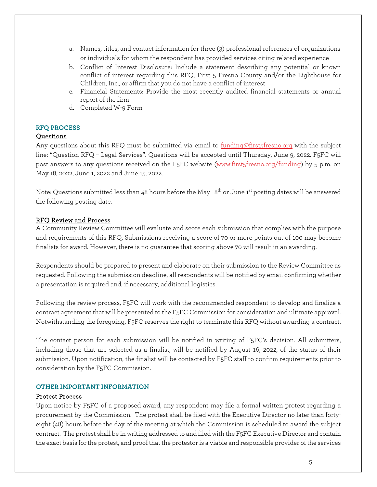- a. Names, titles, and contact information for three (3) professional references of organizations or individuals for whom the respondent has provided services citing related experience
- b. Conflict of Interest Disclosure: Include a statement describing any potential or known conflict of interest regarding this RFQ, First 5 Fresno County and/or the Lighthouse for Children, Inc., or affirm that you do not have a conflict of interest
- c. Financial Statements: Provide the most recently audited financial statements or annual report of the firm
- d. Completed W-9 Form

#### **RFQ PROCESS**

#### Questions

Any questions about this RFQ must be submitted via email to [funding@first5fresno.org](mailto:funding@first5fresno.org) with the subject line: "Question RFQ – Legal Services". Questions will be accepted until Thursday, June 9, 2022. F5FC will post answers to any questions received on the F5FC website [\(www.first5fresno.org/funding\)](http://www.first5fresno.org/funding) by 5 p.m. on May 18, 2022, June 1, 2022 and June 15, 2022.

Note: Questions submitted less than 48 hours before the May 18<sup>th</sup> or June 1<sup>st</sup> posting dates will be answered the following posting date.

#### RFQ Review and Process

A Community Review Committee will evaluate and score each submission that complies with the purpose and requirements of this RFQ. Submissions receiving a score of 70 or more points out of 100 may become finalists for award. However, there is no guarantee that scoring above 70 will result in an awarding.

Respondents should be prepared to present and elaborate on their submission to the Review Committee as requested. Following the submission deadline, all respondents will be notified by email confirming whether a presentation is required and, if necessary, additional logistics.

Following the review process, F5FC will work with the recommended respondent to develop and finalize a contract agreement that will be presented to the F5FC Commission for consideration and ultimate approval. Notwithstanding the foregoing, F5FC reserves the right to terminate this RFQ without awarding a contract.

The contact person for each submission will be notified in writing of F5FC's decision. All submitters, including those that are selected as a finalist, will be notified by August 16, 2022, of the status of their submission. Upon notification, the finalist will be contacted by F5FC staff to confirm requirements prior to consideration by the F5FC Commission.

#### **OTHER IMPORTANT INFORMATION**

#### Protest Process

Upon notice by F5FC of a proposed award, any respondent may file a formal written protest regarding a procurement by the Commission. The protest shall be filed with the Executive Director no later than fortyeight (48) hours before the day of the meeting at which the Commission is scheduled to award the subject contract. The protest shall be in writing addressed to and filed with the F5FC Executive Director and contain the exact basis for the protest, and proof that the protestor is a viable and responsible provider of the services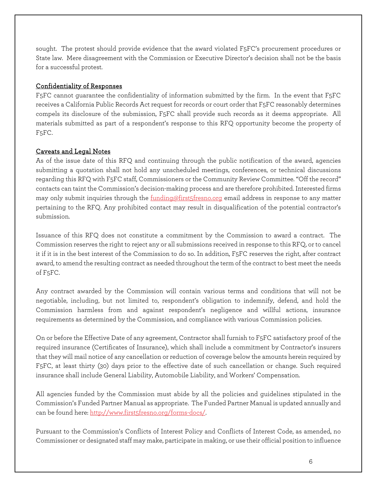sought. The protest should provide evidence that the award violated F5FC's procurement procedures or State law. Mere disagreement with the Commission or Executive Director's decision shall not be the basis for a successful protest.

## Confidentiality of Responses

F5FC cannot guarantee the confidentiality of information submitted by the firm. In the event that F5FC receives a California Public Records Act request for records or court order that F5FC reasonably determines compels its disclosure of the submission, F5FC shall provide such records as it deems appropriate. All materials submitted as part of a respondent's response to this RFQ opportunity become the property of F5FC.

## Caveats and Legal Notes

As of the issue date of this RFQ and continuing through the public notification of the award, agencies submitting a quotation shall not hold any unscheduled meetings, conferences, or technical discussions regarding this RFQ with F5FC staff, Commissioners or the Community Review Committee. "Off the record" contacts can taint the Commission's decision-making process and are therefore prohibited. Interested firms may only submit inquiries through the [funding@first5fresno.org](mailto:funding@first5fresno.org) email address in response to any matter pertaining to the RFQ. Any prohibited contact may result in disqualification of the potential contractor's submission.

Issuance of this RFQ does not constitute a commitment by the Commission to award a contract. The Commission reserves the right to reject any or all submissions received in response to this RFQ, or to cancel it if it is in the best interest of the Commission to do so. In addition, F5FC reserves the right, after contract award, to amend the resulting contract as needed throughout the term of the contract to best meet the needs of F5FC.

Any contract awarded by the Commission will contain various terms and conditions that will not be negotiable, including, but not limited to, respondent's obligation to indemnify, defend, and hold the Commission harmless from and against respondent's negligence and willful actions, insurance requirements as determined by the Commission, and compliance with various Commission policies.

On or before the Effective Date of any agreement, Contractor shall furnish to F5FC satisfactory proof of the required insurance (Certificates of Insurance), which shall include a commitment by Contractor's insurers that they will mail notice of any cancellation or reduction of coverage below the amounts herein required by F5FC, at least thirty (30) days prior to the effective date of such cancellation or change. Such required insurance shall include General Liability, Automobile Liability, and Workers' Compensation.

All agencies funded by the Commission must abide by all the policies and guidelines stipulated in the Commission's Funded Partner Manual as appropriate. The Funded Partner Manual is updated annually and can be found here: [http://www.first5fresno.org/forms-docs/.](http://www.first5fresno.org/forms-docs/) 

Pursuant to the Commission's Conflicts of Interest Policy and Conflicts of Interest Code, as amended, no Commissioner or designated staff may make, participate in making, or use their official position to influence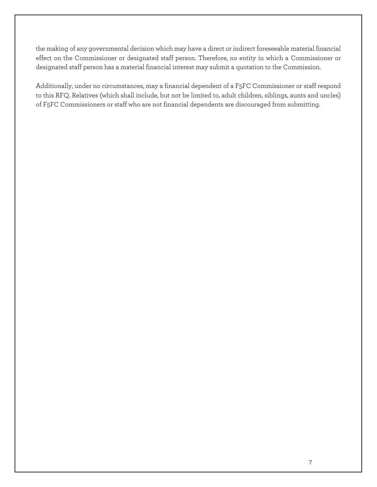the making of any governmental decision which may have a direct or indirect foreseeable material financial effect on the Commissioner or designated staff person. Therefore, no entity in which a Commissioner or designated staff person has a material financial interest may submit a quotation to the Commission.

Additionally, under no circumstances, may a financial dependent of a F5FC Commissioner or staff respond to this RFQ. Relatives (which shall include, but not be limited to, adult children, siblings, aunts and uncles) of F5FC Commissioners or staff who are not financial dependents are discouraged from submitting.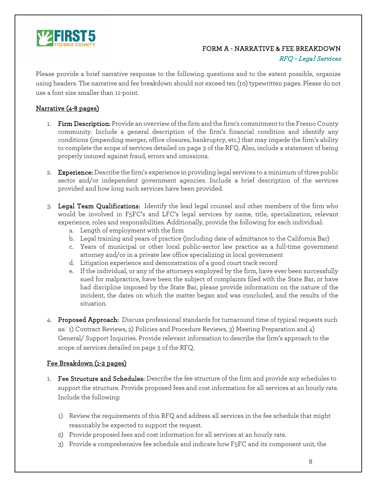

## FORM A - NARRATIVE & FEE BREAKDOWN

#### RFQ – Legal Services

Please provide a brief narrative response to the following questions and to the extent possible, organize using headers. The narrative and fee breakdown should not exceed ten (10) typewritten pages. Please do not use a font size smaller than 11-point.

## Narrative (4-8 pages)

- 1. Firm Description: Provide an overview of the firm and the firm's commitment to the Fresno County community. Include a general description of the firm's financial condition and identify any conditions (impending merger, office closures, bankruptcy, etc.) that may impede the firm's ability to complete the scope of services detailed on page 3 of the RFQ. Also, include a statement of being properly insured against fraud, errors and omissions.
- 2. Experience: Describe the firm's experience in providing legal services to a minimum of three public sector and/or independent government agencies. Include a brief description of the services provided and how long such services have been provided.
- 3. Legal Team Qualifications: Identify the lead legal counsel and other members of the firm who would be involved in F5FC's and LFC's legal services by name, title, specialization, relevant experience, roles and responsibilities. Additionally, provide the following for each individual:
	- a. Length of employment with the firm
	- b. Legal training and years of practice (including date of admittance to the California Bar)
	- c. Years of municipal or other local public-sector law practice as a full-time government attorney and/or in a private law office specializing in local government
	- d. Litigation experience and demonstration of a good court track record
	- e. If the individual, or any of the attorneys employed by the firm, have ever been successfully sued for malpractice, have been the subject of complaints filed with the State Bar, or have had discipline imposed by the State Bar, please provide information on the nature of the incident, the dates on which the matter began and was concluded, and the results of the situation.
- 4. Proposed Approach: Discuss professional standards for turnaround time of typical requests such as: 1) Contract Reviews, 2) Policies and Procedure Reviews, 3) Meeting Preparation and 4) General/ Support Inquiries. Provide relevant information to describe the firm's approach to the scope of services detailed on page 3 of the RFQ.

## Fee Breakdown (1-2 pages)

- 1. Fee Structure and Schedules: Describe the fee structure of the firm and provide any schedules to support the structure. Provide proposed fees and cost information for all services at an hourly rate. Include the following:
	- 1) Review the requirements of this RFQ and address all services in the fee schedule that might reasonably be expected to support the request.
	- 2) Provide proposed fees and cost information for all services at an hourly rate.
	- 3) Provide a comprehensive fee schedule and indicate how F5FC and its component unit, the